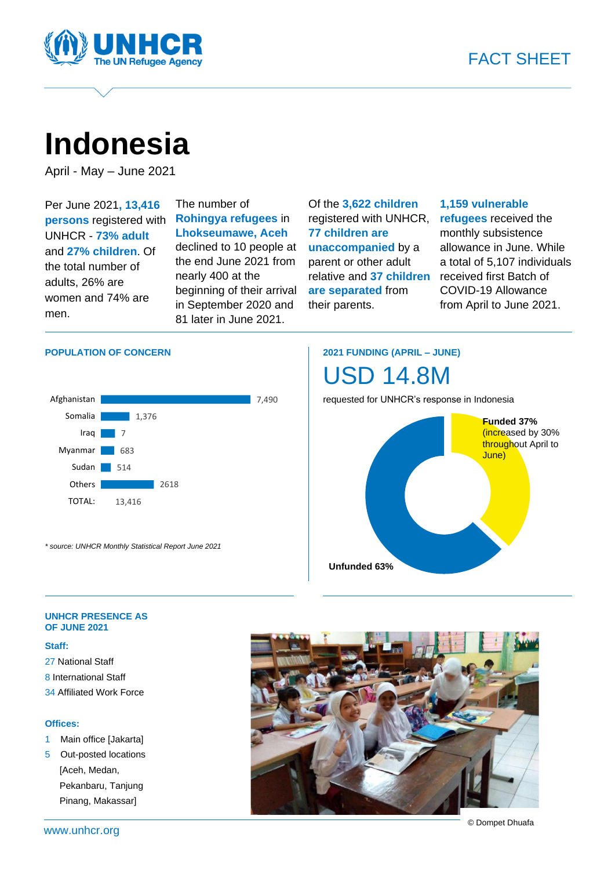

# **Indonesia**

April - May – June 2021

Per June 2021**, 13,416 persons** registered with UNHCR - **73% adult** and **27% children**. Of the total number of adults, 26% are women and 74% are men.

The number of **Rohingya refugees** in **Lhokseumawe, Aceh** declined to 10 people at the end June 2021 from nearly 400 at the beginning of their arrival in September 2020 and 81 later in June 2021.

Of the **3,622 children** registered with UNHCR, **77 children are unaccompanied** by a parent or other adult relative and **37 children are separated** from their parents.

#### **1,159 vulnerable**

**refugees** received the monthly subsistence allowance in June. While a total of 5,107 individuals received first Batch of COVID-19 Allowance from April to June 2021.

#### **POPULATION OF CONCERN**



*\* source: UNHCR Monthly Statistical Report June 2021*

### **2021 FUNDING (APRIL – JUNE)**



requested for UNHCR's response in Indonesia



#### **UNHCR PRESENCE AS OF JUNE 2021**

#### **Staff:**

27 National Staff 8 International Staff 34 Affiliated Work Force

#### **Offices:**

- 1 Main office [Jakarta]
- 5 Out-posted locations [Aceh, Medan, Pekanbaru, Tanjung Pinang, Makassar]



© Dompet Dhuafa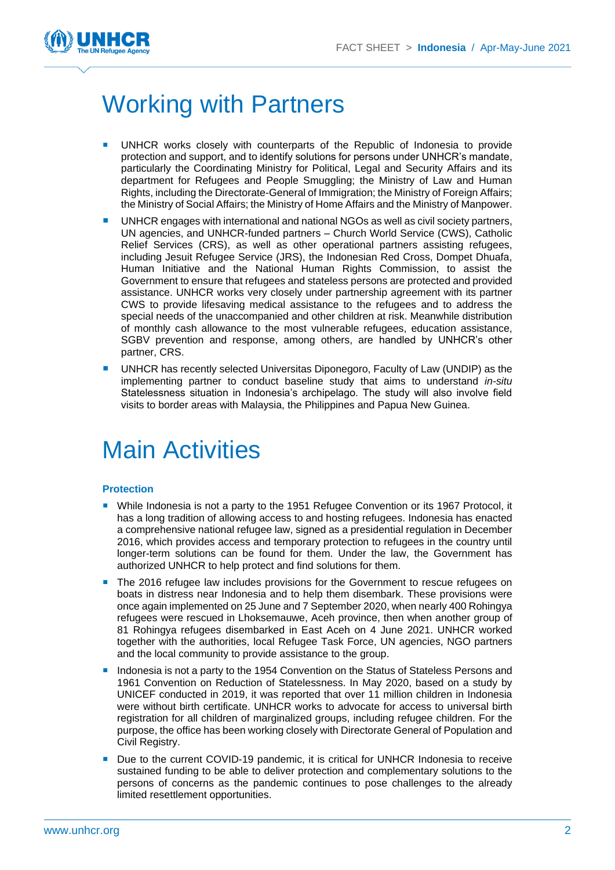

## Working with Partners

- UNHCR works closely with counterparts of the Republic of Indonesia to provide protection and support, and to identify solutions for persons under UNHCR's mandate, particularly the Coordinating Ministry for Political, Legal and Security Affairs and its department for Refugees and People Smuggling; the Ministry of Law and Human Rights, including the Directorate-General of Immigration; the Ministry of Foreign Affairs; the Ministry of Social Affairs; the Ministry of Home Affairs and the Ministry of Manpower.
- UNHCR engages with international and national NGOs as well as civil society partners, UN agencies, and UNHCR-funded partners – Church World Service (CWS), Catholic Relief Services (CRS), as well as other operational partners assisting refugees, including Jesuit Refugee Service (JRS), the Indonesian Red Cross, Dompet Dhuafa, Human Initiative and the National Human Rights Commission, to assist the Government to ensure that refugees and stateless persons are protected and provided assistance. UNHCR works very closely under partnership agreement with its partner CWS to provide lifesaving medical assistance to the refugees and to address the special needs of the unaccompanied and other children at risk. Meanwhile distribution of monthly cash allowance to the most vulnerable refugees, education assistance, SGBV prevention and response, among others, are handled by UNHCR's other partner, CRS.
- UNHCR has recently selected Universitas Diponegoro, Faculty of Law (UNDIP) as the implementing partner to conduct baseline study that aims to understand *in-situ* Statelessness situation in Indonesia's archipelago. The study will also involve field visits to border areas with Malaysia, the Philippines and Papua New Guinea.

## Main Activities

#### **Protection**

- While Indonesia is not a party to the 1951 Refugee Convention or its 1967 Protocol, it has a long tradition of allowing access to and hosting refugees. Indonesia has enacted a comprehensive national refugee law, signed as a presidential regulation in December 2016, which provides access and temporary protection to refugees in the country until longer-term solutions can be found for them. Under the law, the Government has authorized UNHCR to help protect and find solutions for them.
- The 2016 refugee law includes provisions for the Government to rescue refugees on boats in distress near Indonesia and to help them disembark. These provisions were once again implemented on 25 June and 7 September 2020, when nearly 400 Rohingya refugees were rescued in Lhoksemauwe, Aceh province, then when another group of 81 Rohingya refugees disembarked in East Aceh on 4 June 2021. UNHCR worked together with the authorities, local Refugee Task Force, UN agencies, NGO partners and the local community to provide assistance to the group.
- Indonesia is not a party to the 1954 Convention on the Status of Stateless Persons and 1961 Convention on Reduction of Statelessness. In May 2020, based on a study by UNICEF conducted in 2019, it was reported that over 11 million children in Indonesia were without birth certificate. UNHCR works to advocate for access to universal birth registration for all children of marginalized groups, including refugee children. For the purpose, the office has been working closely with Directorate General of Population and Civil Registry.
- Due to the current COVID-19 pandemic, it is critical for UNHCR Indonesia to receive sustained funding to be able to deliver protection and complementary solutions to the persons of concerns as the pandemic continues to pose challenges to the already limited resettlement opportunities.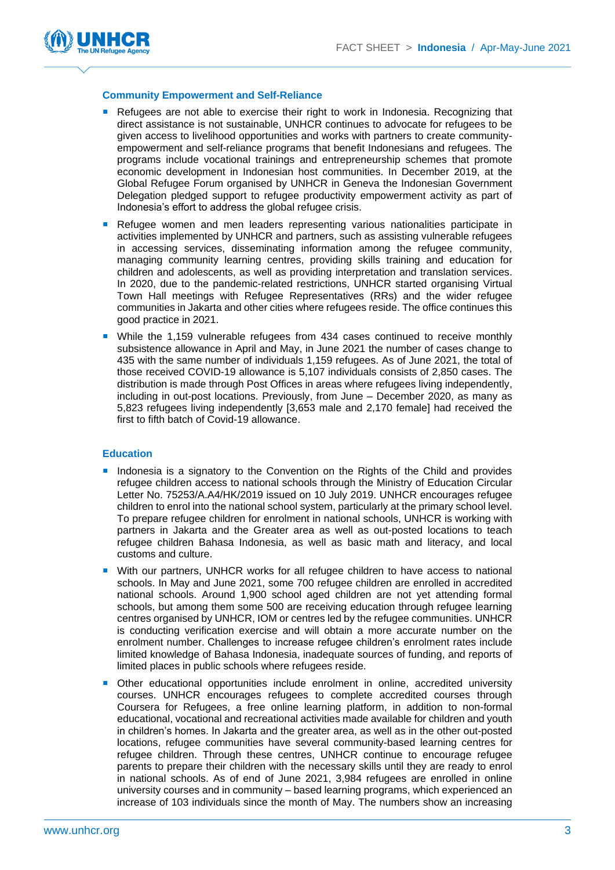

#### **Community Empowerment and Self-Reliance**

- **Refugees are not able to exercise their right to work in Indonesia. Recognizing that** direct assistance is not sustainable, UNHCR continues to advocate for refugees to be given access to livelihood opportunities and works with partners to create communityempowerment and self-reliance programs that benefit Indonesians and refugees. The programs include vocational trainings and entrepreneurship schemes that promote economic development in Indonesian host communities. In December 2019, at the Global Refugee Forum organised by UNHCR in Geneva the Indonesian Government Delegation pledged support to refugee productivity empowerment activity as part of Indonesia's effort to address the global refugee crisis.
- **Refugee women and men leaders representing various nationalities participate in** activities implemented by UNHCR and partners, such as assisting vulnerable refugees in accessing services, disseminating information among the refugee community, managing community learning centres, providing skills training and education for children and adolescents, as well as providing interpretation and translation services. In 2020, due to the pandemic-related restrictions, UNHCR started organising Virtual Town Hall meetings with Refugee Representatives (RRs) and the wider refugee communities in Jakarta and other cities where refugees reside. The office continues this good practice in 2021.
- While the 1,159 vulnerable refugees from 434 cases continued to receive monthly subsistence allowance in April and May, in June 2021 the number of cases change to 435 with the same number of individuals 1,159 refugees. As of June 2021, the total of those received COVID-19 allowance is 5,107 individuals consists of 2,850 cases. The distribution is made through Post Offices in areas where refugees living independently, including in out-post locations. Previously, from June – December 2020, as many as 5,823 refugees living independently [3,653 male and 2,170 female] had received the first to fifth batch of Covid-19 allowance.

#### **Education**

- **Indonesia is a signatory to the Convention on the Rights of the Child and provides** refugee children access to national schools through the Ministry of Education Circular Letter No. 75253/A.A4/HK/2019 issued on 10 July 2019. UNHCR encourages refugee children to enrol into the national school system, particularly at the primary school level. To prepare refugee children for enrolment in national schools, UNHCR is working with partners in Jakarta and the Greater area as well as out-posted locations to teach refugee children Bahasa Indonesia, as well as basic math and literacy, and local customs and culture.
- With our partners, UNHCR works for all refugee children to have access to national schools. In May and June 2021, some 700 refugee children are enrolled in accredited national schools. Around 1,900 school aged children are not yet attending formal schools, but among them some 500 are receiving education through refugee learning centres organised by UNHCR, IOM or centres led by the refugee communities. UNHCR is conducting verification exercise and will obtain a more accurate number on the enrolment number. Challenges to increase refugee children's enrolment rates include limited knowledge of Bahasa Indonesia, inadequate sources of funding, and reports of limited places in public schools where refugees reside.
- Other educational opportunities include enrolment in online, accredited university courses. UNHCR encourages refugees to complete accredited courses through Coursera for Refugees, a free online learning platform, in addition to non-formal educational, vocational and recreational activities made available for children and youth in children's homes. In Jakarta and the greater area, as well as in the other out-posted locations, refugee communities have several community-based learning centres for refugee children. Through these centres, UNHCR continue to encourage refugee parents to prepare their children with the necessary skills until they are ready to enrol in national schools. As of end of June 2021, 3,984 refugees are enrolled in online university courses and in community – based learning programs, which experienced an increase of 103 individuals since the month of May. The numbers show an increasing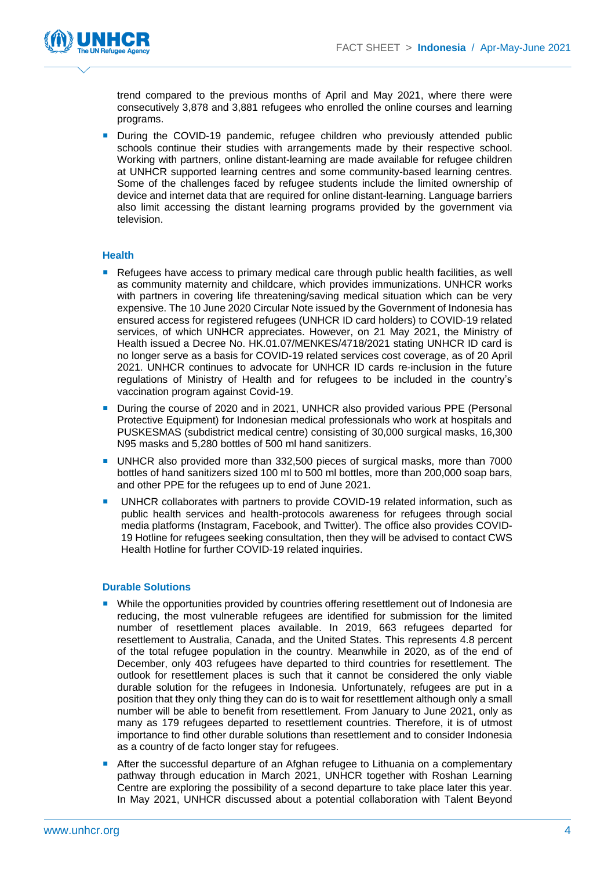

trend compared to the previous months of April and May 2021, where there were consecutively 3,878 and 3,881 refugees who enrolled the online courses and learning programs.

**During the COVID-19 pandemic, refugee children who previously attended public** schools continue their studies with arrangements made by their respective school. Working with partners, online distant-learning are made available for refugee children at UNHCR supported learning centres and some community-based learning centres. Some of the challenges faced by refugee students include the limited ownership of device and internet data that are required for online distant-learning. Language barriers also limit accessing the distant learning programs provided by the government via television.

#### **Health**

- **Refugees have access to primary medical care through public health facilities, as well** as community maternity and childcare, which provides immunizations. UNHCR works with partners in covering life threatening/saving medical situation which can be very expensive. The 10 June 2020 Circular Note issued by the Government of Indonesia has ensured access for registered refugees (UNHCR ID card holders) to COVID-19 related services, of which UNHCR appreciates. However, on 21 May 2021, the Ministry of Health issued a Decree No. HK.01.07/MENKES/4718/2021 stating UNHCR ID card is no longer serve as a basis for COVID-19 related services cost coverage, as of 20 April 2021. UNHCR continues to advocate for UNHCR ID cards re-inclusion in the future regulations of Ministry of Health and for refugees to be included in the country's vaccination program against Covid-19.
- **During the course of 2020 and in 2021, UNHCR also provided various PPE (Personal** Protective Equipment) for Indonesian medical professionals who work at hospitals and PUSKESMAS (subdistrict medical centre) consisting of 30,000 surgical masks, 16,300 N95 masks and 5,280 bottles of 500 ml hand sanitizers.
- UNHCR also provided more than 332,500 pieces of surgical masks, more than 7000 bottles of hand sanitizers sized 100 ml to 500 ml bottles, more than 200,000 soap bars, and other PPE for the refugees up to end of June 2021.
- UNHCR collaborates with partners to provide COVID-19 related information, such as public health services and health-protocols awareness for refugees through social media platforms (Instagram, Facebook, and Twitter). The office also provides COVID-19 Hotline for refugees seeking consultation, then they will be advised to contact CWS Health Hotline for further COVID-19 related inquiries.

#### **Durable Solutions**

- **Nille the opportunities provided by countries offering resettlement out of Indonesia are** reducing, the most vulnerable refugees are identified for submission for the limited number of resettlement places available. In 2019, 663 refugees departed for resettlement to Australia, Canada, and the United States. This represents 4.8 percent of the total refugee population in the country. Meanwhile in 2020, as of the end of December, only 403 refugees have departed to third countries for resettlement. The outlook for resettlement places is such that it cannot be considered the only viable durable solution for the refugees in Indonesia. Unfortunately, refugees are put in a position that they only thing they can do is to wait for resettlement although only a small number will be able to benefit from resettlement. From January to June 2021, only as many as 179 refugees departed to resettlement countries. Therefore, it is of utmost importance to find other durable solutions than resettlement and to consider Indonesia as a country of de facto longer stay for refugees.
- After the successful departure of an Afghan refugee to Lithuania on a complementary pathway through education in March 2021, UNHCR together with Roshan Learning Centre are exploring the possibility of a second departure to take place later this year. In May 2021, UNHCR discussed about a potential collaboration with Talent Beyond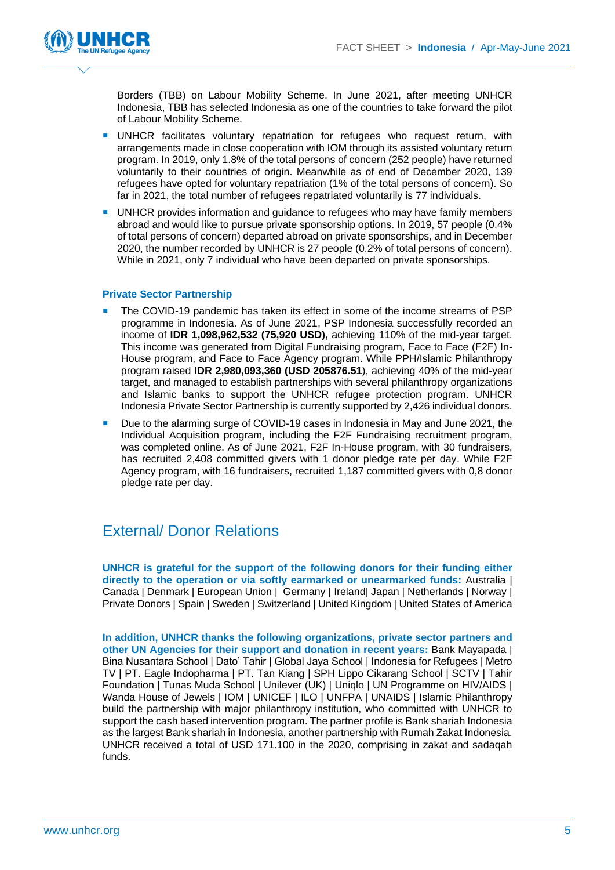

Borders (TBB) on Labour Mobility Scheme. In June 2021, after meeting UNHCR Indonesia, TBB has selected Indonesia as one of the countries to take forward the pilot of Labour Mobility Scheme.

- UNHCR facilitates voluntary repatriation for refugees who request return, with arrangements made in close cooperation with IOM through its assisted voluntary return program. In 2019, only 1.8% of the total persons of concern (252 people) have returned voluntarily to their countries of origin. Meanwhile as of end of December 2020, 139 refugees have opted for voluntary repatriation (1% of the total persons of concern). So far in 2021, the total number of refugees repatriated voluntarily is 77 individuals.
- **UNHCR** provides information and quidance to refugees who may have family members abroad and would like to pursue private sponsorship options. In 2019, 57 people (0.4% of total persons of concern) departed abroad on private sponsorships, and in December 2020, the number recorded by UNHCR is 27 people (0.2% of total persons of concern). While in 2021, only 7 individual who have been departed on private sponsorships.

#### **Private Sector Partnership**

- The COVID-19 pandemic has taken its effect in some of the income streams of PSP programme in Indonesia. As of June 2021, PSP Indonesia successfully recorded an income of **IDR 1,098,962,532 (75,920 USD),** achieving 110% of the mid-year target. This income was generated from Digital Fundraising program, Face to Face (F2F) In-House program, and Face to Face Agency program. While PPH/Islamic Philanthropy program raised **IDR 2,980,093,360 (USD 205876.51**), achieving 40% of the mid-year target, and managed to establish partnerships with several philanthropy organizations and Islamic banks to support the UNHCR refugee protection program. UNHCR Indonesia Private Sector Partnership is currently supported by 2,426 individual donors.
- Due to the alarming surge of COVID-19 cases in Indonesia in May and June 2021, the Individual Acquisition program, including the F2F Fundraising recruitment program, was completed online. As of June 2021, F2F In-House program, with 30 fundraisers, has recruited 2,408 committed givers with 1 donor pledge rate per day. While F2F Agency program, with 16 fundraisers, recruited 1,187 committed givers with 0,8 donor pledge rate per day.

### External/ Donor Relations

**UNHCR is grateful for the support of the following donors for their funding either directly to the operation or via softly earmarked or unearmarked funds:** Australia | Canada | Denmark | European Union | Germany | Ireland| Japan | Netherlands | Norway | Private Donors | Spain | Sweden | Switzerland | United Kingdom | United States of America

**In addition, UNHCR thanks the following organizations, private sector partners and other UN Agencies for their support and donation in recent years:** Bank Mayapada | Bina Nusantara School | Dato' Tahir | Global Jaya School | Indonesia for Refugees | Metro TV | PT. Eagle Indopharma | PT. Tan Kiang | SPH Lippo Cikarang School | SCTV | Tahir Foundation | Tunas Muda School | Unilever (UK) | Uniqlo | UN Programme on HIV/AIDS | Wanda House of Jewels | IOM | UNICEF | ILO | UNFPA | UNAIDS | Islamic Philanthropy build the partnership with major philanthropy institution, who committed with UNHCR to support the cash based intervention program. The partner profile is Bank shariah Indonesia as the largest Bank shariah in Indonesia, another partnership with Rumah Zakat Indonesia. UNHCR received a total of USD 171.100 in the 2020, comprising in zakat and sadaqah funds.